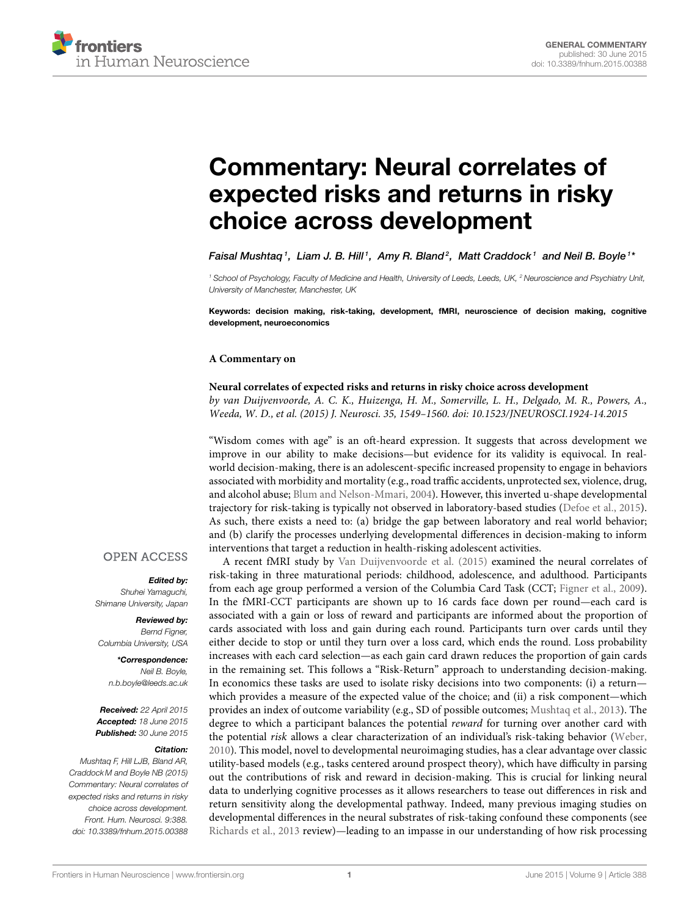

# Commentary: Neural correlates of [expected risks and returns in risky](http://journal.frontiersin.org/article/10.3389/fnhum.2015.00388/full) choice across development

[Faisal Mushtaq](http://loop.frontiersin.org/people/35195/overview)1,  [Liam J. B. Hill](http://loop.frontiersin.org/people/247534/overview)1,  [Amy R. Bland](http://loop.frontiersin.org/people/29070/overview) $^2$ , [Matt Craddock](http://loop.frontiersin.org/people/43679/overview)1 and [Neil B. Boyle](http://loop.frontiersin.org/people/243871/overview)1\*

*<sup>1</sup> School of Psychology, Faculty of Medicine and Health, University of Leeds, Leeds, UK, <sup>2</sup> Neuroscience and Psychiatry Unit, University of Manchester, Manchester, UK*

Keywords: decision making, risk-taking, development, fMRI, neuroscience of decision making, cognitive development, neuroeconomics

### **A Commentary on**

#### **Neural correlates of expected risks and returns in risky choice across development**

by van Duijvenvoorde, A. C. K., Huizenga, H. M., Somerville, L. H., Delgado, M. R., Powers, A., Weeda, W. D., et al. (2015) J. Neurosci. 35, 1549–1560. doi: 10.1523/JNEUROSCI.1924-14.2015

"Wisdom comes with age" is an oft-heard expression. It suggests that across development we improve in our ability to make decisions—but evidence for its validity is equivocal. In realworld decision-making, there is an adolescent-specific increased propensity to engage in behaviors associated with morbidity and mortality (e.g., road traffic accidents, unprotected sex, violence, drug, and alcohol abuse; [Blum and Nelson-Mmari, 2004\)](#page-1-0). However, this inverted u-shape developmental trajectory for risk-taking is typically not observed in laboratory-based studies [\(Defoe et al., 2015\)](#page-1-1). As such, there exists a need to: (a) bridge the gap between laboratory and real world behavior; and (b) clarify the processes underlying developmental differences in decision-making to inform interventions that target a reduction in health-risking adolescent activities.

# **OPEN ACCESS**

#### Edited by:

*Shuhei Yamaguchi, Shimane University, Japan*

## Reviewed by:

*Bernd Figner, Columbia University, USA*

> \*Correspondence: *Neil B. Boyle,*

*[n.b.boyle@leeds.ac.uk](mailto:n.b.boyle@leeds.ac.uk)* Received: *22 April 2015*

Accepted: *18 June 2015* Published: *30 June 2015*

# Citation:

*Mushtaq F, Hill LJB, Bland AR, Craddock M and Boyle NB (2015) Commentary: Neural correlates of expected risks and returns in risky choice across development. Front. Hum. Neurosci. 9:388. doi: [10.3389/fnhum.2015.00388](http://dx.doi.org/10.3389/fnhum.2015.00388)*

A recent fMRI study by [Van Duijvenvoorde et al. \(2015\)](#page-1-2) examined the neural correlates of risk-taking in three maturational periods: childhood, adolescence, and adulthood. Participants from each age group performed a version of the Columbia Card Task (CCT; [Figner et al., 2009\)](#page-1-3). In the fMRI-CCT participants are shown up to 16 cards face down per round—each card is associated with a gain or loss of reward and participants are informed about the proportion of cards associated with loss and gain during each round. Participants turn over cards until they either decide to stop or until they turn over a loss card, which ends the round. Loss probability increases with each card selection—as each gain card drawn reduces the proportion of gain cards in the remaining set. This follows a "Risk-Return" approach to understanding decision-making. In economics these tasks are used to isolate risky decisions into two components: (i) a return which provides a measure of the expected value of the choice; and (ii) a risk component—which provides an index of outcome variability (e.g., SD of possible outcomes; [Mushtaq et al., 2013\)](#page-1-4). The degree to which a participant balances the potential *reward* for turning over another card with the potential risk allows a clear characterization of an individual's risk-taking behavior [\(Weber,](#page-1-5) [2010\)](#page-1-5). This model, novel to developmental neuroimaging studies, has a clear advantage over classic utility-based models (e.g., tasks centered around prospect theory), which have difficulty in parsing out the contributions of risk and reward in decision-making. This is crucial for linking neural data to underlying cognitive processes as it allows researchers to tease out differences in risk and return sensitivity along the developmental pathway. Indeed, many previous imaging studies on developmental differences in the neural substrates of risk-taking confound these components (see [Richards et al., 2013](#page-1-6) review)—leading to an impasse in our understanding of how risk processing